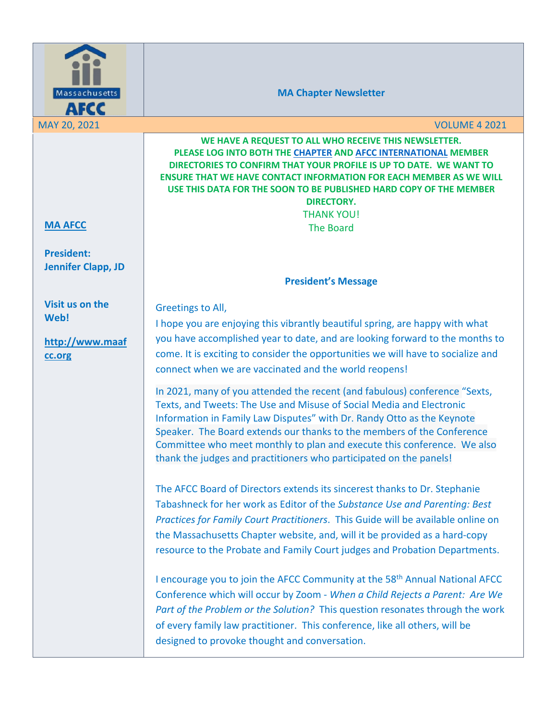

**MA Chapter Newsletter**

MAY 20, 2021 VOLUME 4 2021 **MA AFCC President: Jennifer Clapp, JD Visit us on the Web! http://www.maaf cc.org WE HAVE A REQUEST TO ALL WHO RECEIVE THIS NEWSLETTER. PLEASE LOG INTO BOTH THE CHAPTER AND AFCC INTERNATIONAL MEMBER DIRECTORIES TO CONFIRM THAT YOUR PROFILE IS UP TO DATE. WE WANT TO ENSURE THAT WE HAVE CONTACT INFORMATION FOR EACH MEMBER AS WE WILL USE THIS DATA FOR THE SOON TO BE PUBLISHED HARD COPY OF THE MEMBER DIRECTORY.** THANK YOU! The Board **President's Message** Greetings to All, I hope you are enjoying this vibrantly beautiful spring, are happy with what you have accomplished year to date, and are looking forward to the months to come. It is exciting to consider the opportunities we will have to socialize and connect when we are vaccinated and the world reopens! In 2021, many of you attended the recent (and fabulous) conference "Sexts, Texts, and Tweets: The Use and Misuse of Social Media and Electronic Information in Family Law Disputes" with Dr. Randy Otto as the Keynote Speaker. The Board extends our thanks to the members of the Conference Committee who meet monthly to plan and execute this conference. We also thank the judges and practitioners who participated on the panels! The AFCC Board of Directors extends its sincerest thanks to Dr. Stephanie Tabashneck for her work as Editor of the *Substance Use and Parenting: Best Practices for Family Court Practitioners*. This Guide will be available online on the Massachusetts Chapter website, and, will it be provided as a hard-copy resource to the Probate and Family Court judges and Probation Departments. I encourage you to join the AFCC Community at the 58<sup>th</sup> Annual National AFCC Conference which will occur by Zoom - *When a Child Rejects a Parent: Are We Part of the Problem or the Solution?* This question resonates through the work of every family law practitioner. This conference, like all others, will be designed to provoke thought and conversation.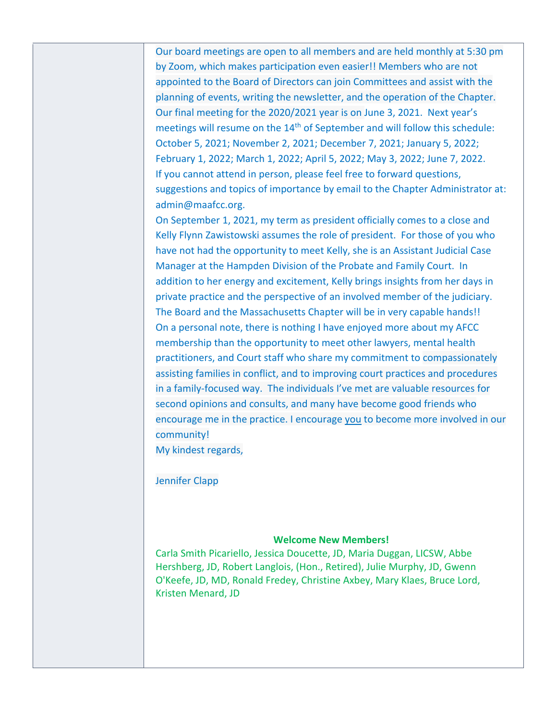Our board meetings are open to all members and are held monthly at 5:30 pm by Zoom, which makes participation even easier!! Members who are not appointed to the Board of Directors can join Committees and assist with the planning of events, writing the newsletter, and the operation of the Chapter. Our final meeting for the 2020/2021 year is on June 3, 2021. Next year's meetings will resume on the 14<sup>th</sup> of September and will follow this schedule: October 5, 2021; November 2, 2021; December 7, 2021; January 5, 2022; February 1, 2022; March 1, 2022; April 5, 2022; May 3, 2022; June 7, 2022. If you cannot attend in person, please feel free to forward questions, suggestions and topics of importance by email to the Chapter Administrator at: admin@maafcc.org.

On September 1, 2021, my term as president officially comes to a close and Kelly Flynn Zawistowski assumes the role of president. For those of you who have not had the opportunity to meet Kelly, she is an Assistant Judicial Case Manager at the Hampden Division of the Probate and Family Court. In addition to her energy and excitement, Kelly brings insights from her days in private practice and the perspective of an involved member of the judiciary. The Board and the Massachusetts Chapter will be in very capable hands!! On a personal note, there is nothing I have enjoyed more about my AFCC membership than the opportunity to meet other lawyers, mental health practitioners, and Court staff who share my commitment to compassionately assisting families in conflict, and to improving court practices and procedures in a family-focused way. The individuals I've met are valuable resources for second opinions and consults, and many have become good friends who encourage me in the practice. I encourage you to become more involved in our community!

My kindest regards,

Jennifer Clapp

#### **Welcome New Members!**

Carla Smith Picariello, Jessica Doucette, JD, Maria Duggan, LICSW, Abbe Hershberg, JD, Robert Langlois, (Hon., Retired), Julie Murphy, JD, Gwenn O'Keefe, JD, MD, Ronald Fredey, Christine Axbey, Mary Klaes, Bruce Lord, Kristen Menard, JD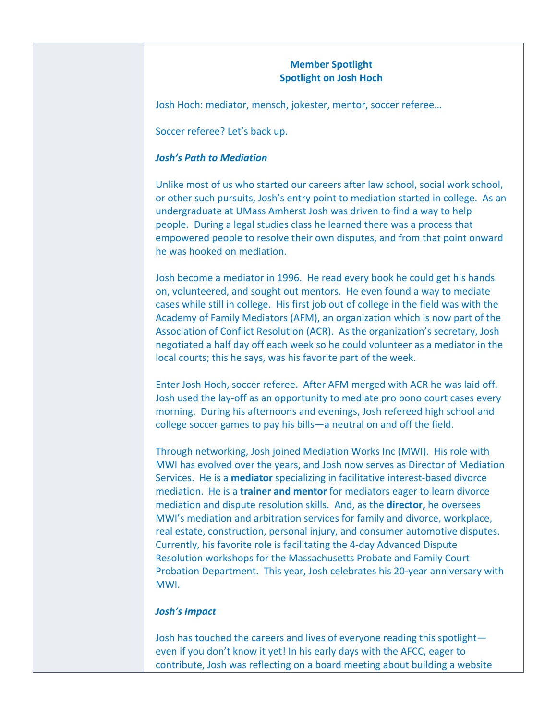# **Member Spotlight Spotlight on Josh Hoch**

Josh Hoch: mediator, mensch, jokester, mentor, soccer referee…

Soccer referee? Let's back up.

# *Josh's Path to Mediation*

Unlike most of us who started our careers after law school, social work school, or other such pursuits, Josh's entry point to mediation started in college. As an undergraduate at UMass Amherst Josh was driven to find a way to help people. During a legal studies class he learned there was a process that empowered people to resolve their own disputes, and from that point onward he was hooked on mediation.

Josh become a mediator in 1996. He read every book he could get his hands on, volunteered, and sought out mentors. He even found a way to mediate cases while still in college. His first job out of college in the field was with the Academy of Family Mediators (AFM), an organization which is now part of the Association of Conflict Resolution (ACR). As the organization's secretary, Josh negotiated a half day off each week so he could volunteer as a mediator in the local courts; this he says, was his favorite part of the week.

Enter Josh Hoch, soccer referee. After AFM merged with ACR he was laid off. Josh used the lay-off as an opportunity to mediate pro bono court cases every morning. During his afternoons and evenings, Josh refereed high school and college soccer games to pay his bills—a neutral on and off the field.

Through networking, Josh joined Mediation Works Inc (MWI). His role with MWI has evolved over the years, and Josh now serves as Director of Mediation Services. He is a **mediator** specializing in facilitative interest-based divorce mediation. He is a **trainer and mentor** for mediators eager to learn divorce mediation and dispute resolution skills. And, as the **director,** he oversees MWI's mediation and arbitration services for family and divorce, workplace, real estate, construction, personal injury, and consumer automotive disputes. Currently, his favorite role is facilitating the 4-day Advanced Dispute Resolution workshops for the Massachusetts Probate and Family Court Probation Department. This year, Josh celebrates his 20-year anniversary with MWI.

# *Josh's Impact*

Josh has touched the careers and lives of everyone reading this spotlight even if you don't know it yet! In his early days with the AFCC, eager to contribute, Josh was reflecting on a board meeting about building a website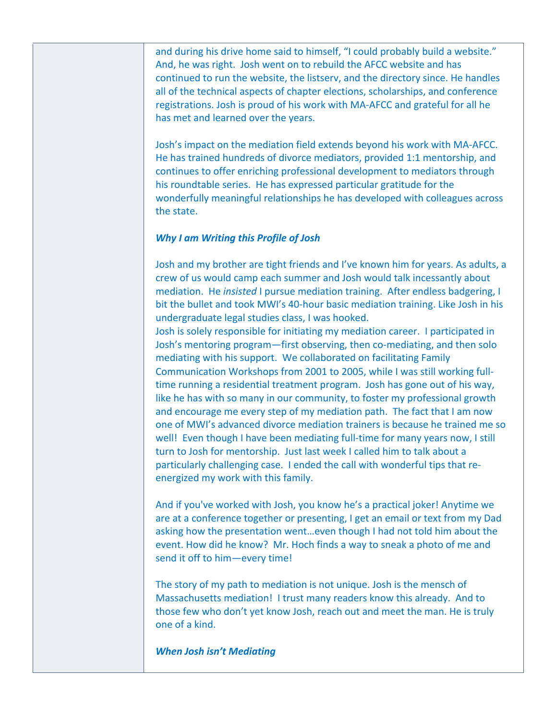and during his drive home said to himself, "I could probably build a website." And, he was right. Josh went on to rebuild the AFCC website and has continued to run the website, the listserv, and the directory since. He handles all of the technical aspects of chapter elections, scholarships, and conference registrations. Josh is proud of his work with MA-AFCC and grateful for all he has met and learned over the years.

Josh's impact on the mediation field extends beyond his work with MA-AFCC. He has trained hundreds of divorce mediators, provided 1:1 mentorship, and continues to offer enriching professional development to mediators through his roundtable series. He has expressed particular gratitude for the wonderfully meaningful relationships he has developed with colleagues across the state.

# *Why I am Writing this Profile of Josh*

Josh and my brother are tight friends and I've known him for years. As adults, a crew of us would camp each summer and Josh would talk incessantly about mediation. He *insisted* I pursue mediation training. After endless badgering, I bit the bullet and took MWI's 40-hour basic mediation training. Like Josh in his undergraduate legal studies class, I was hooked.

Josh is solely responsible for initiating my mediation career. I participated in Josh's mentoring program—first observing, then co-mediating, and then solo mediating with his support. We collaborated on facilitating Family Communication Workshops from 2001 to 2005, while I was still working fulltime running a residential treatment program. Josh has gone out of his way, like he has with so many in our community, to foster my professional growth and encourage me every step of my mediation path. The fact that I am now one of MWI's advanced divorce mediation trainers is because he trained me so well! Even though I have been mediating full-time for many years now, I still turn to Josh for mentorship. Just last week I called him to talk about a particularly challenging case. I ended the call with wonderful tips that reenergized my work with this family.

And if you've worked with Josh, you know he's a practical joker! Anytime we are at a conference together or presenting, I get an email or text from my Dad asking how the presentation went…even though I had not told him about the event. How did he know? Mr. Hoch finds a way to sneak a photo of me and send it off to him—every time!

The story of my path to mediation is not unique. Josh is the mensch of Massachusetts mediation! I trust many readers know this already. And to those few who don't yet know Josh, reach out and meet the man. He is truly one of a kind.

*When Josh isn't Mediating*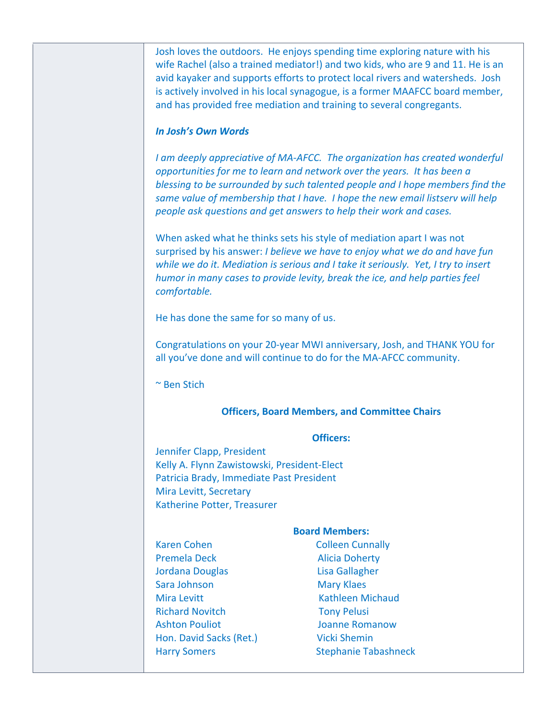Josh loves the outdoors. He enjoys spending time exploring nature with his wife Rachel (also a trained mediator!) and two kids, who are 9 and 11. He is an avid kayaker and supports efforts to protect local rivers and watersheds. Josh is actively involved in his local synagogue, is a former MAAFCC board member, and has provided free mediation and training to several congregants.

### *In Josh's Own Words*

*I am deeply appreciative of MA-AFCC. The organization has created wonderful opportunities for me to learn and network over the years. It has been a blessing to be surrounded by such talented people and I hope members find the same value of membership that I have. I hope the new email listserv will help people ask questions and get answers to help their work and cases.*

When asked what he thinks sets his style of mediation apart I was not surprised by his answer: *I believe we have to enjoy what we do and have fun while we do it. Mediation is serious and I take it seriously. Yet, I try to insert humor in many cases to provide levity, break the ice, and help parties feel comfortable.*

He has done the same for so many of us.

Congratulations on your 20-year MWI anniversary, Josh, and THANK YOU for all you've done and will continue to do for the MA-AFCC community.

~ Ben Stich

#### **Officers, Board Members, and Committee Chairs**

#### **Officers:**

Jennifer Clapp, President Kelly A. Flynn Zawistowski, President-Elect Patricia Brady, Immediate Past President Mira Levitt, Secretary Katherine Potter, Treasurer

Karen Cohen Colleen Cunnally Premela Deck Alicia Doherty Jordana Douglas Lisa Gallagher Sara Johnson Mary Klaes Mira Levitt **Kathleen Michaud** Richard Novitch Tony Pelusi Ashton Pouliot **Ashton Pouliot Ashton Pouliot Ashton** *Joanne Romanow* Hon. David Sacks (Ret.) Vicki Shemin

#### **Board Members:**

Harry Somers Stephanie Tabashneck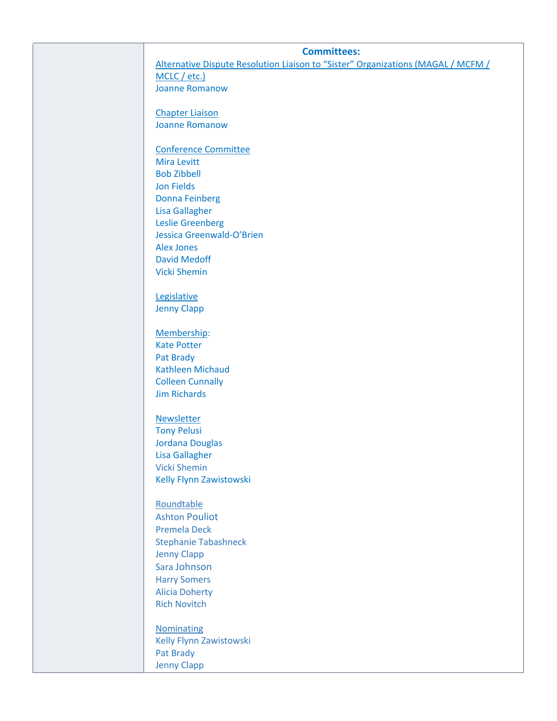| <b>Committees:</b>          |                                                                                  |
|-----------------------------|----------------------------------------------------------------------------------|
| MCLC / etc.)                | Alternative Dispute Resolution Liaison to "Sister" Organizations (MAGAL / MCFM / |
| <b>Joanne Romanow</b>       |                                                                                  |
|                             |                                                                                  |
| <b>Chapter Liaison</b>      |                                                                                  |
| <b>Joanne Romanow</b>       |                                                                                  |
|                             |                                                                                  |
| <b>Conference Committee</b> |                                                                                  |
| <b>Mira Levitt</b>          |                                                                                  |
| <b>Bob Zibbell</b>          |                                                                                  |
| <b>Jon Fields</b>           |                                                                                  |
| <b>Donna Feinberg</b>       |                                                                                  |
| <b>Lisa Gallagher</b>       |                                                                                  |
| <b>Leslie Greenberg</b>     |                                                                                  |
| Jessica Greenwald-O'Brien   |                                                                                  |
| <b>Alex Jones</b>           |                                                                                  |
| <b>David Medoff</b>         |                                                                                  |
| <b>Vicki Shemin</b>         |                                                                                  |
|                             |                                                                                  |
| Legislative                 |                                                                                  |
| <b>Jenny Clapp</b>          |                                                                                  |
|                             |                                                                                  |
| Membership:                 |                                                                                  |
| <b>Kate Potter</b>          |                                                                                  |
| Pat Brady                   |                                                                                  |
| <b>Kathleen Michaud</b>     |                                                                                  |
| <b>Colleen Cunnally</b>     |                                                                                  |
| <b>Jim Richards</b>         |                                                                                  |
| <b>Newsletter</b>           |                                                                                  |
| <b>Tony Pelusi</b>          |                                                                                  |
| <b>Jordana Douglas</b>      |                                                                                  |
| <b>Lisa Gallagher</b>       |                                                                                  |
| <b>Vicki Shemin</b>         |                                                                                  |
| Kelly Flynn Zawistowski     |                                                                                  |
|                             |                                                                                  |
| Roundtable                  |                                                                                  |
| <b>Ashton Pouliot</b>       |                                                                                  |
| <b>Premela Deck</b>         |                                                                                  |
| <b>Stephanie Tabashneck</b> |                                                                                  |
| <b>Jenny Clapp</b>          |                                                                                  |
| Sara Johnson                |                                                                                  |
| <b>Harry Somers</b>         |                                                                                  |
| <b>Alicia Doherty</b>       |                                                                                  |
| <b>Rich Novitch</b>         |                                                                                  |
|                             |                                                                                  |
| <b>Nominating</b>           |                                                                                  |
| Kelly Flynn Zawistowski     |                                                                                  |
| Pat Brady                   |                                                                                  |
| <b>Jenny Clapp</b>          |                                                                                  |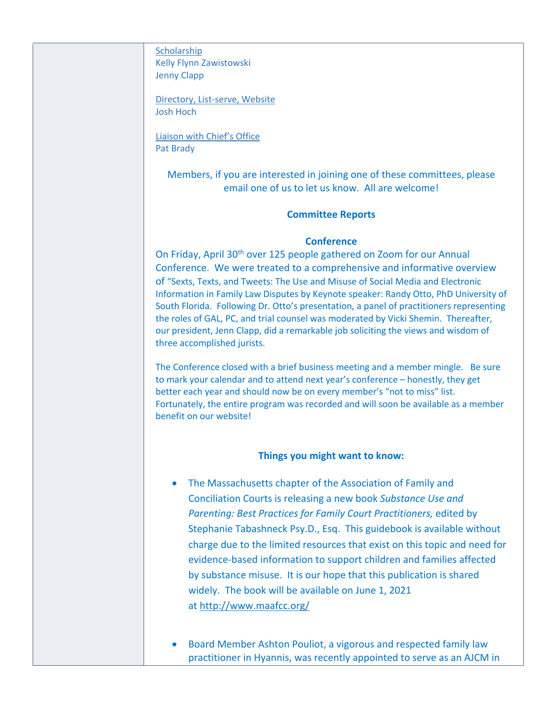**Scholarship** Kelly Flynn Zawistowski Jenny Clapp

Directory, List-serve, Website Josh Hoch

Liaison with Chief's Office Pat Brady

> Members, if you are interested in joining one of these committees, please email one of us to let us know. All are welcome!

### **Committee Reports**

### **Conference**

On Friday, April 30<sup>th</sup> over 125 people gathered on Zoom for our Annual Conference. We were treated to a comprehensive and informative overview of "Sexts, Texts, and Tweets: The Use and Misuse of Social Media and Electronic Information in Family Law Disputes by Keynote speaker: Randy Otto, PhD University of South Florida. Following Dr. Otto's presentation, a panel of practitioners representing the roles of GAL, PC, and trial counsel was moderated by Vicki Shemin. Thereafter, our president, Jenn Clapp, did a remarkable job soliciting the views and wisdom of three accomplished jurists.

The Conference closed with a brief business meeting and a member mingle. Be sure to mark your calendar and to attend next year's conference – honestly, they get better each year and should now be on every member's "not to miss" list. Fortunately, the entire program was recorded and will soon be available as a member benefit on our website!

#### **Things you might want to know:**

- The Massachusetts chapter of the Association of Family and Conciliation Courts is releasing a new book *Substance Use and Parenting: Best Practices for Family Court Practitioners,* edited by Stephanie Tabashneck Psy.D., Esq. This guidebook is available without charge due to the limited resources that exist on this topic and need for evidence-based information to support children and families affected by substance misuse. It is our hope that this publication is shared widely. The book will be available on June 1, 2021 at http://www.maafcc.org/
- Board Member Ashton Pouliot, a vigorous and respected family law practitioner in Hyannis, was recently appointed to serve as an AJCM in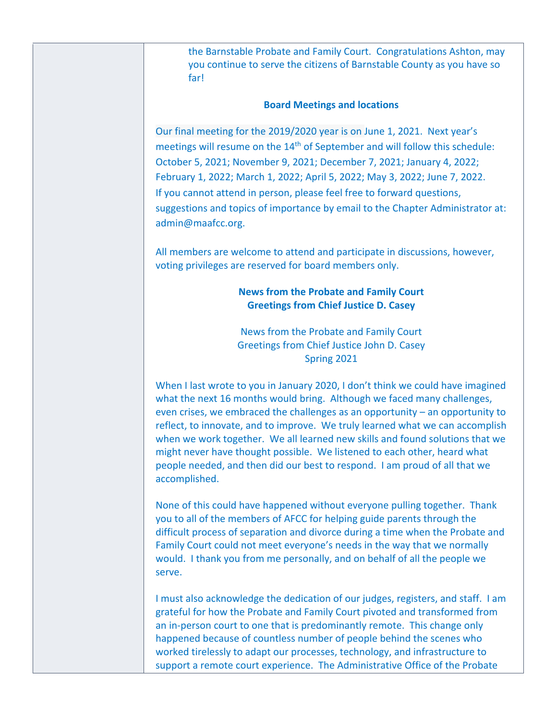the Barnstable Probate and Family Court. Congratulations Ashton, may you continue to serve the citizens of Barnstable County as you have so far!

### **Board Meetings and locations**

Our final meeting for the 2019/2020 year is on June 1, 2021. Next year's meetings will resume on the  $14<sup>th</sup>$  of September and will follow this schedule: October 5, 2021; November 9, 2021; December 7, 2021; January 4, 2022; February 1, 2022; March 1, 2022; April 5, 2022; May 3, 2022; June 7, 2022. If you cannot attend in person, please feel free to forward questions, suggestions and topics of importance by email to the Chapter Administrator at: admin@maafcc.org.

All members are welcome to attend and participate in discussions, however, voting privileges are reserved for board members only.

# **News from the Probate and Family Court Greetings from Chief Justice D. Casey**

News from the Probate and Family Court Greetings from Chief Justice John D. Casey Spring 2021

When I last wrote to you in January 2020, I don't think we could have imagined what the next 16 months would bring. Although we faced many challenges, even crises, we embraced the challenges as an opportunity – an opportunity to reflect, to innovate, and to improve. We truly learned what we can accomplish when we work together. We all learned new skills and found solutions that we might never have thought possible. We listened to each other, heard what people needed, and then did our best to respond. I am proud of all that we accomplished.

None of this could have happened without everyone pulling together. Thank you to all of the members of AFCC for helping guide parents through the difficult process of separation and divorce during a time when the Probate and Family Court could not meet everyone's needs in the way that we normally would. I thank you from me personally, and on behalf of all the people we serve.

I must also acknowledge the dedication of our judges, registers, and staff. I am grateful for how the Probate and Family Court pivoted and transformed from an in-person court to one that is predominantly remote. This change only happened because of countless number of people behind the scenes who worked tirelessly to adapt our processes, technology, and infrastructure to support a remote court experience. The Administrative Office of the Probate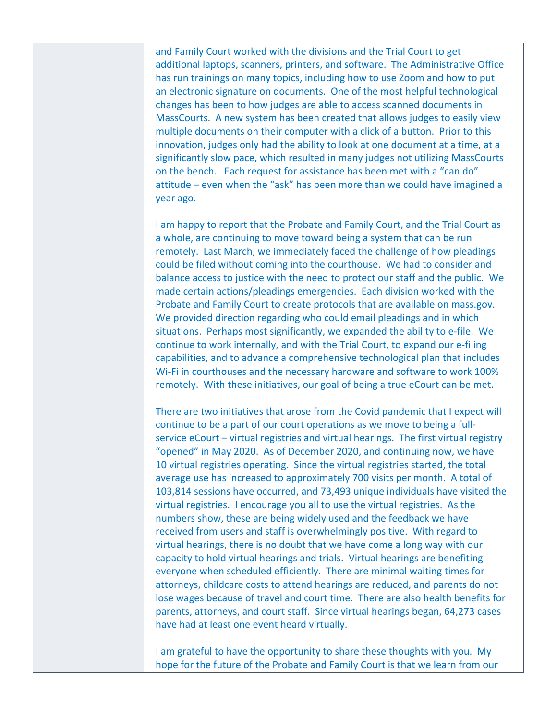and Family Court worked with the divisions and the Trial Court to get additional laptops, scanners, printers, and software. The Administrative Office has run trainings on many topics, including how to use Zoom and how to put an electronic signature on documents. One of the most helpful technological changes has been to how judges are able to access scanned documents in MassCourts. A new system has been created that allows judges to easily view multiple documents on their computer with a click of a button. Prior to this innovation, judges only had the ability to look at one document at a time, at a significantly slow pace, which resulted in many judges not utilizing MassCourts on the bench. Each request for assistance has been met with a "can do" attitude – even when the "ask" has been more than we could have imagined a year ago.

I am happy to report that the Probate and Family Court, and the Trial Court as a whole, are continuing to move toward being a system that can be run remotely. Last March, we immediately faced the challenge of how pleadings could be filed without coming into the courthouse. We had to consider and balance access to justice with the need to protect our staff and the public. We made certain actions/pleadings emergencies. Each division worked with the Probate and Family Court to create protocols that are available on mass.gov. We provided direction regarding who could email pleadings and in which situations. Perhaps most significantly, we expanded the ability to e-file. We continue to work internally, and with the Trial Court, to expand our e-filing capabilities, and to advance a comprehensive technological plan that includes Wi-Fi in courthouses and the necessary hardware and software to work 100% remotely. With these initiatives, our goal of being a true eCourt can be met.

There are two initiatives that arose from the Covid pandemic that I expect will continue to be a part of our court operations as we move to being a fullservice eCourt – virtual registries and virtual hearings. The first virtual registry "opened" in May 2020. As of December 2020, and continuing now, we have 10 virtual registries operating. Since the virtual registries started, the total average use has increased to approximately 700 visits per month. A total of 103,814 sessions have occurred, and 73,493 unique individuals have visited the virtual registries. I encourage you all to use the virtual registries. As the numbers show, these are being widely used and the feedback we have received from users and staff is overwhelmingly positive. With regard to virtual hearings, there is no doubt that we have come a long way with our capacity to hold virtual hearings and trials. Virtual hearings are benefiting everyone when scheduled efficiently. There are minimal waiting times for attorneys, childcare costs to attend hearings are reduced, and parents do not lose wages because of travel and court time. There are also health benefits for parents, attorneys, and court staff. Since virtual hearings began, 64,273 cases have had at least one event heard virtually.

I am grateful to have the opportunity to share these thoughts with you. My hope for the future of the Probate and Family Court is that we learn from our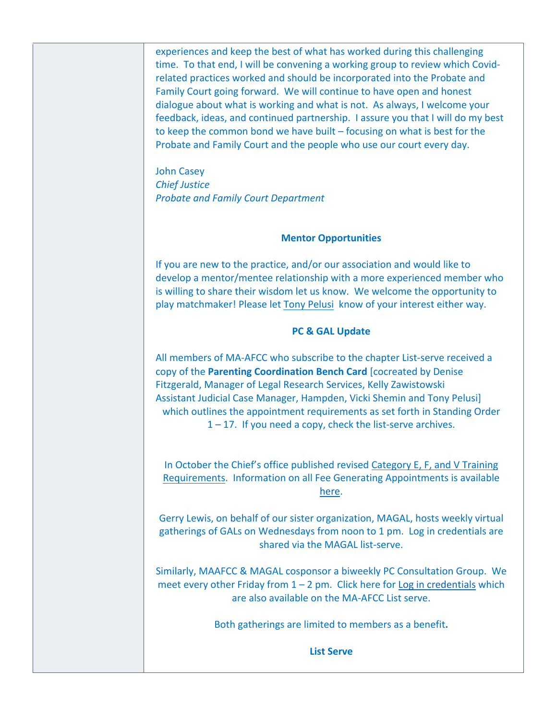experiences and keep the best of what has worked during this challenging time. To that end, I will be convening a working group to review which Covidrelated practices worked and should be incorporated into the Probate and Family Court going forward. We will continue to have open and honest dialogue about what is working and what is not. As always, I welcome your feedback, ideas, and continued partnership. I assure you that I will do my best to keep the common bond we have built – focusing on what is best for the Probate and Family Court and the people who use our court every day.

John Casey *Chief Justice Probate and Family Court Department*

#### **Mentor Opportunities**

If you are new to the practice, and/or our association and would like to develop a mentor/mentee relationship with a more experienced member who is willing to share their wisdom let us know. We welcome the opportunity to play matchmaker! Please let Tony Pelusi know of your interest either way.

# **PC & GAL Update**

All members of MA-AFCC who subscribe to the chapter List-serve received a copy of the **Parenting Coordination Bench Card** [cocreated by Denise Fitzgerald, Manager of Legal Research Services, Kelly Zawistowski Assistant Judicial Case Manager, Hampden, Vicki Shemin and Tony Pelusi] which outlines the appointment requirements as set forth in Standing Order  $1 - 17$ . If you need a copy, check the list-serve archives.

In October the Chief's office published revised Category E, F, and V Training Requirements. Information on all Fee Generating Appointments is available here.

Gerry Lewis, on behalf of our sister organization, MAGAL, hosts weekly virtual gatherings of GALs on Wednesdays from noon to 1 pm. Log in credentials are shared via the MAGAL list-serve.

Similarly, MAAFCC & MAGAL cosponsor a biweekly PC Consultation Group. We meet every other Friday from  $1 - 2$  pm. Click here for Log in credentials which are also available on the MA-AFCC List serve.

Both gatherings are limited to members as a benefit**.**

**List Serve**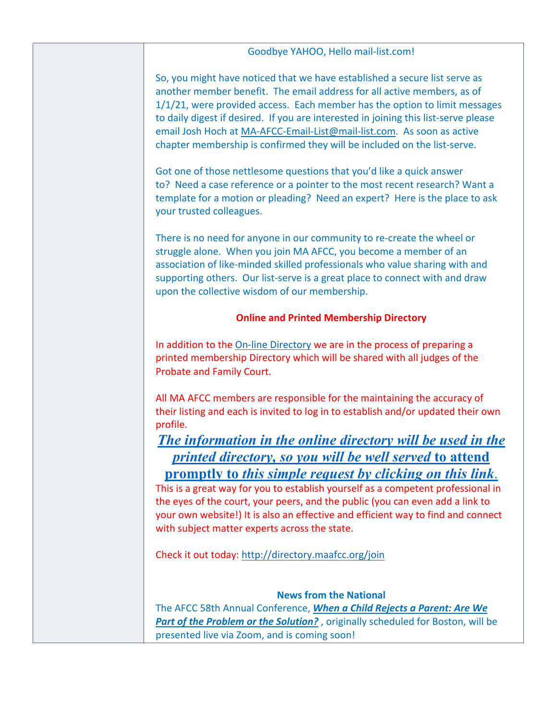| Goodbye YAHOO, Hello mail-list.com!                                                                                                                                                                                                                                                                                                                                                                                                                                              |  |
|----------------------------------------------------------------------------------------------------------------------------------------------------------------------------------------------------------------------------------------------------------------------------------------------------------------------------------------------------------------------------------------------------------------------------------------------------------------------------------|--|
|                                                                                                                                                                                                                                                                                                                                                                                                                                                                                  |  |
| So, you might have noticed that we have established a secure list serve as<br>another member benefit. The email address for all active members, as of<br>1/1/21, were provided access. Each member has the option to limit messages<br>to daily digest if desired. If you are interested in joining this list-serve please<br>email Josh Hoch at MA-AFCC-Email-List@mail-list.com. As soon as active<br>chapter membership is confirmed they will be included on the list-serve. |  |
| Got one of those nettlesome questions that you'd like a quick answer<br>to? Need a case reference or a pointer to the most recent research? Want a<br>template for a motion or pleading? Need an expert? Here is the place to ask<br>your trusted colleagues.                                                                                                                                                                                                                    |  |
| There is no need for anyone in our community to re-create the wheel or<br>struggle alone. When you join MA AFCC, you become a member of an<br>association of like-minded skilled professionals who value sharing with and<br>supporting others. Our list-serve is a great place to connect with and draw<br>upon the collective wisdom of our membership.                                                                                                                        |  |
| <b>Online and Printed Membership Directory</b>                                                                                                                                                                                                                                                                                                                                                                                                                                   |  |
| In addition to the On-line Directory we are in the process of preparing a<br>printed membership Directory which will be shared with all judges of the<br>Probate and Family Court.                                                                                                                                                                                                                                                                                               |  |
| All MA AFCC members are responsible for the maintaining the accuracy of<br>their listing and each is invited to log in to establish and/or updated their own<br>profile.<br>The information in the online directory will be used in the                                                                                                                                                                                                                                          |  |
| printed directory, so you will be well served to attend<br><u>promptly to this simple request by clicking on this link.</u><br>This is a great way for you to establish yourself as a competent professional in<br>the eyes of the court, your peers, and the public (you can even add a link to<br>your own website!) It is also an effective and efficient way to find and connect<br>with subject matter experts across the state.                                            |  |
| Check it out today: http://directory.maafcc.org/join                                                                                                                                                                                                                                                                                                                                                                                                                             |  |
| <b>News from the National</b><br>The AFCC 58th Annual Conference, When a Child Rejects a Parent: Are We<br>Part of the Problem or the Solution?, originally scheduled for Boston, will be<br>presented live via Zoom, and is coming soon!                                                                                                                                                                                                                                        |  |
|                                                                                                                                                                                                                                                                                                                                                                                                                                                                                  |  |